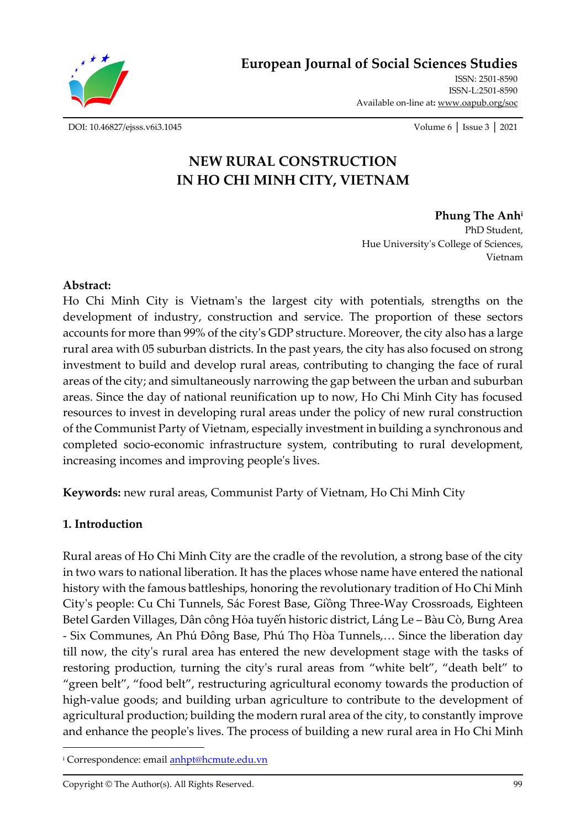

**[European Journal of Social Sciences Studies](http://oapub.org/soc/index.php/EJSSS)**

[ISSN: 2501-8590](http://oapub.org/soc/index.php/EJSSS)  [ISSN-L:2501-8590](http://oapub.org/soc/index.php/EJSSS)  Available on-line at**:** [www.oapub.org/soc](http://www.oapub.org/soc)

[DOI: 10.46827/ejsss.v6i3.1045](http://dx.doi.org/10.46827/ejsss.v6i3.1045) Volume 6 │ Issue 3 │ 2021

# **NEW RURAL CONSTRUCTION IN HO CHI MINH CITY, VIETNAM**

#### **Phung The Anh<sup>i</sup>**

PhD Student, Hue University's College of Sciences, Vietnam

#### **Abstract:**

Ho Chi Minh City is Vietnam's the largest city with potentials, strengths on the development of industry, construction and service. The proportion of these sectors accounts for more than 99% of the city's GDP structure. Moreover, the city also has a large rural area with 05 suburban districts. In the past years, the city has also focused on strong investment to build and develop rural areas, contributing to changing the face of rural areas of the city; and simultaneously narrowing the gap between the urban and suburban areas. Since the day of national reunification up to now, Ho Chi Minh City has focused resources to invest in developing rural areas under the policy of new rural construction of the Communist Party of Vietnam, especially investment in building a synchronous and completed socio-economic infrastructure system, contributing to rural development, increasing incomes and improving people's lives.

**Keywords:** new rural areas, Communist Party of Vietnam, Ho Chi Minh City

## **1. Introduction**

Rural areas of Ho Chi Minh City are the cradle of the revolution, a strong base of the city in two wars to national liberation. It has the places whose name have entered the national history with the famous battleships, honoring the revolutionary tradition of Ho Chi Minh City's people: Cu Chi Tunnels, Sác Forest Base, Giồng Three-Way Crossroads, Eighteen Betel Garden Villages, Dân công Hỏa tuyến historic district, Láng Le – Bàu Cò, Bưng Area - Six Communes, An Phú Đông Base, Phú Thọ Hòa Tunnels,… Since the liberation day till now, the city's rural area has entered the new development stage with the tasks of restoring production, turning the city's rural areas from "white belt", "death belt" to "green belt", "food belt", restructuring agricultural economy towards the production of high-value goods; and building urban agriculture to contribute to the development of agricultural production; building the modern rural area of the city, to constantly improve and enhance the people's lives. The process of building a new rural area in Ho Chi Minh

<sup>&</sup>lt;sup>i</sup> Correspondence: email **anhpt@hcmute.edu.vn**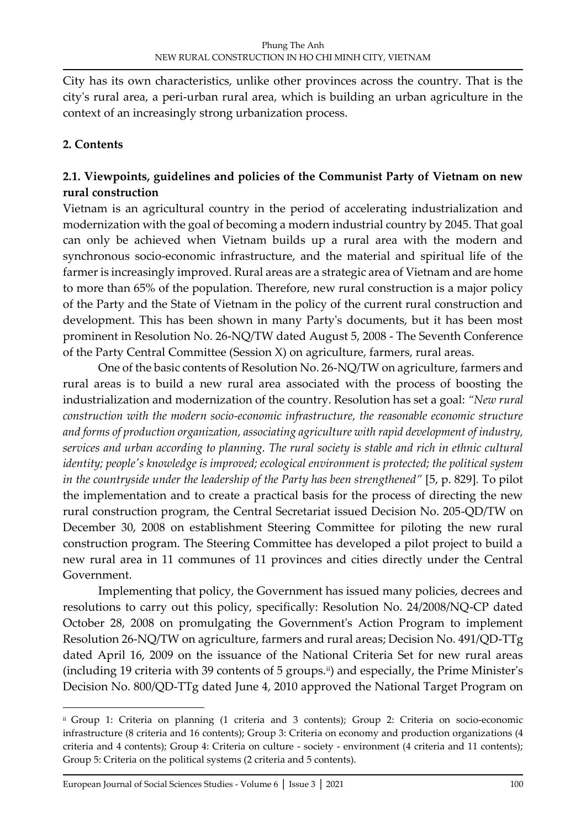City has its own characteristics, unlike other provinces across the country. That is the city's rural area, a peri-urban rural area, which is building an urban agriculture in the context of an increasingly strong urbanization process.

## **2. Contents**

## **2.1. Viewpoints, guidelines and policies of the Communist Party of Vietnam on new rural construction**

Vietnam is an agricultural country in the period of accelerating industrialization and modernization with the goal of becoming a modern industrial country by 2045. That goal can only be achieved when Vietnam builds up a rural area with the modern and synchronous socio-economic infrastructure, and the material and spiritual life of the farmer is increasingly improved. Rural areas are a strategic area of Vietnam and are home to more than 65% of the population. Therefore, new rural construction is a major policy of the Party and the State of Vietnam in the policy of the current rural construction and development. This has been shown in many Party's documents, but it has been most prominent in Resolution No. 26-NQ/TW dated August 5, 2008 - The Seventh Conference of the Party Central Committee (Session X) on agriculture, farmers, rural areas.

One of the basic contents of Resolution No. 26-NQ/TW on agriculture, farmers and rural areas is to build a new rural area associated with the process of boosting the industrialization and modernization of the country. Resolution has set a goal: *"New rural construction with the modern socio-economic infrastructure, the reasonable economic structure and forms of production organization, associating agriculture with rapid development of industry, services and urban according to planning. The rural society is stable and rich in ethnic cultural identity; people's knowledge is improved; ecological environment is protected; the political system in the countryside under the leadership of the Party has been strengthened"* [5, p. 829]*.* To pilot the implementation and to create a practical basis for the process of directing the new rural construction program, the Central Secretariat issued Decision No. 205-QD/TW on December 30, 2008 on establishment Steering Committee for piloting the new rural construction program. The Steering Committee has developed a pilot project to build a new rural area in 11 communes of 11 provinces and cities directly under the Central Government.

Implementing that policy, the Government has issued many policies, decrees and resolutions to carry out this policy, specifically: Resolution No. 24/2008/NQ-CP dated October 28, 2008 on promulgating the Government's Action Program to implement Resolution 26-NQ/TW on agriculture, farmers and rural areas; Decision No. 491/QD-TTg dated April 16, 2009 on the issuance of the National Criteria Set for new rural areas (including 19 criteria with 39 contents of 5 groups.<sup>ii</sup>) and especially, the Prime Minister's Decision No. 800/QD-TTg dated June 4, 2010 approved the National Target Program on

ii Group 1: Criteria on planning (1 criteria and 3 contents); Group 2: Criteria on socio-economic infrastructure (8 criteria and 16 contents); Group 3: Criteria on economy and production organizations (4 criteria and 4 contents); Group 4: Criteria on culture - society - environment (4 criteria and 11 contents); Group 5: Criteria on the political systems (2 criteria and 5 contents).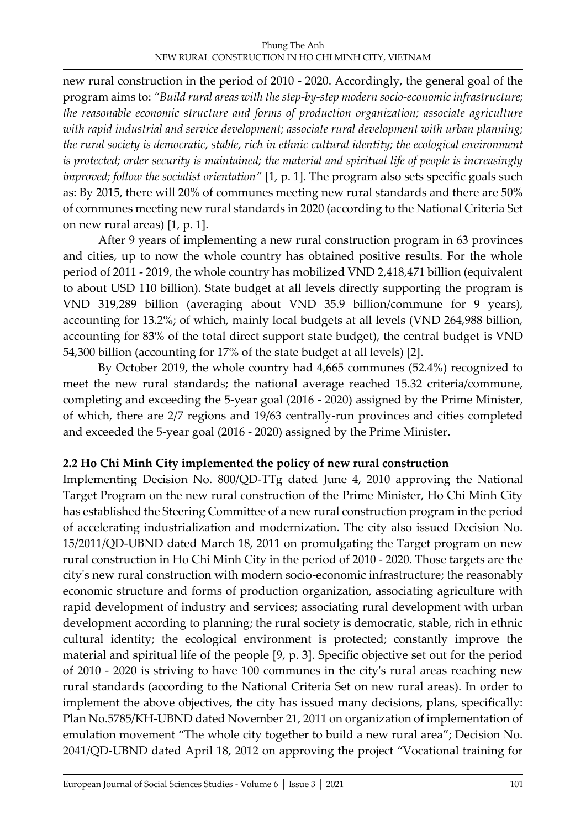new rural construction in the period of 2010 - 2020. Accordingly, the general goal of the program aims to: *"Build rural areas with the step-by-step modern socio-economic infrastructure; the reasonable economic structure and forms of production organization; associate agriculture with rapid industrial and service development; associate rural development with urban planning; the rural society is democratic, stable, rich in ethnic cultural identity; the ecological environment is protected; order security is maintained; the material and spiritual life of people is increasingly improved; follow the socialist orientation"* [1, p. 1]. The program also sets specific goals such as: By 2015, there will 20% of communes meeting new rural standards and there are 50% of communes meeting new rural standards in 2020 (according to the National Criteria Set on new rural areas) [1, p. 1].

After 9 years of implementing a new rural construction program in 63 provinces and cities, up to now the whole country has obtained positive results. For the whole period of 2011 - 2019, the whole country has mobilized VND 2,418,471 billion (equivalent to about USD 110 billion). State budget at all levels directly supporting the program is VND 319,289 billion (averaging about VND 35.9 billion/commune for 9 years), accounting for 13.2%; of which, mainly local budgets at all levels (VND 264,988 billion, accounting for 83% of the total direct support state budget), the central budget is VND 54,300 billion (accounting for 17% of the state budget at all levels) [2].

By October 2019, the whole country had 4,665 communes (52.4%) recognized to meet the new rural standards; the national average reached 15.32 criteria/commune, completing and exceeding the 5-year goal (2016 - 2020) assigned by the Prime Minister, of which, there are 2/7 regions and 19/63 centrally-run provinces and cities completed and exceeded the 5-year goal (2016 - 2020) assigned by the Prime Minister.

#### **2.2 Ho Chi Minh City implemented the policy of new rural construction**

Implementing Decision No. 800/QD-TTg dated June 4, 2010 approving the National Target Program on the new rural construction of the Prime Minister, Ho Chi Minh City has established the Steering Committee of a new rural construction program in the period of accelerating industrialization and modernization. The city also issued Decision No. 15/2011/QD-UBND dated March 18, 2011 on promulgating the Target program on new rural construction in Ho Chi Minh City in the period of 2010 - 2020. Those targets are the city's new rural construction with modern socio-economic infrastructure; the reasonably economic structure and forms of production organization, associating agriculture with rapid development of industry and services; associating rural development with urban development according to planning; the rural society is democratic, stable, rich in ethnic cultural identity; the ecological environment is protected; constantly improve the material and spiritual life of the people [9, p. 3]. Specific objective set out for the period of 2010 - 2020 is striving to have 100 communes in the city's rural areas reaching new rural standards (according to the National Criteria Set on new rural areas). In order to implement the above objectives, the city has issued many decisions, plans, specifically: Plan No.5785/KH-UBND dated November 21, 2011 on organization of implementation of emulation movement "The whole city together to build a new rural area"; Decision No. 2041/QD-UBND dated April 18, 2012 on approving the project "Vocational training for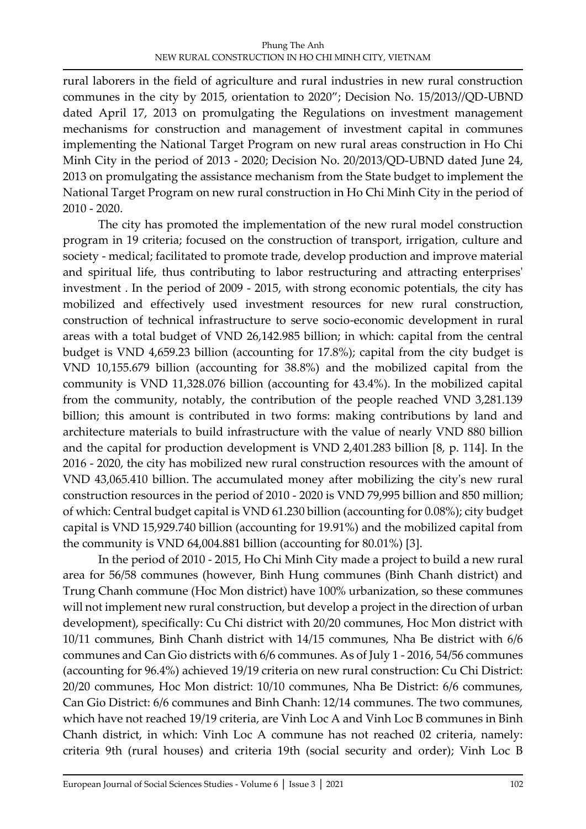rural laborers in the field of agriculture and rural industries in new rural construction communes in the city by 2015, orientation to 2020"; Decision No. 15/2013//QD-UBND dated April 17, 2013 on promulgating the Regulations on investment management mechanisms for construction and management of investment capital in communes implementing the National Target Program on new rural areas construction in Ho Chi Minh City in the period of 2013 - 2020; Decision No. 20/2013/QD-UBND dated June 24, 2013 on promulgating the assistance mechanism from the State budget to implement the National Target Program on new rural construction in Ho Chi Minh City in the period of 2010 - 2020.

The city has promoted the implementation of the new rural model construction program in 19 criteria; focused on the construction of transport, irrigation, culture and society - medical; facilitated to promote trade, develop production and improve material and spiritual life, thus contributing to labor restructuring and attracting enterprises' investment . In the period of 2009 - 2015, with strong economic potentials, the city has mobilized and effectively used investment resources for new rural construction, construction of technical infrastructure to serve socio-economic development in rural areas with a total budget of VND 26,142.985 billion; in which: capital from the central budget is VND 4,659.23 billion (accounting for 17.8%); capital from the city budget is VND 10,155.679 billion (accounting for 38.8%) and the mobilized capital from the community is VND 11,328.076 billion (accounting for 43.4%). In the mobilized capital from the community, notably, the contribution of the people reached VND 3,281.139 billion; this amount is contributed in two forms: making contributions by land and architecture materials to build infrastructure with the value of nearly VND 880 billion and the capital for production development is VND 2,401.283 billion [8, p. 114]. In the 2016 - 2020, the city has mobilized new rural construction resources with the amount of VND 43,065.410 billion. The accumulated money after mobilizing the city's new rural construction resources in the period of 2010 - 2020 is VND 79,995 billion and 850 million; of which: Central budget capital is VND 61.230 billion (accounting for 0.08%); city budget capital is VND 15,929.740 billion (accounting for 19.91%) and the mobilized capital from the community is VND 64,004.881 billion (accounting for 80.01%) [3].

In the period of 2010 - 2015, Ho Chi Minh City made a project to build a new rural area for 56/58 communes (however, Binh Hung communes (Binh Chanh district) and Trung Chanh commune (Hoc Mon district) have 100% urbanization, so these communes will not implement new rural construction, but develop a project in the direction of urban development), specifically: Cu Chi district with 20/20 communes, Hoc Mon district with 10/11 communes, Binh Chanh district with 14/15 communes, Nha Be district with 6/6 communes and Can Gio districts with 6/6 communes. As of July 1 - 2016, 54/56 communes (accounting for 96.4%) achieved 19/19 criteria on new rural construction: Cu Chi District: 20/20 communes, Hoc Mon district: 10/10 communes, Nha Be District: 6/6 communes, Can Gio District: 6/6 communes and Binh Chanh: 12/14 communes. The two communes, which have not reached 19/19 criteria, are Vinh Loc A and Vinh Loc B communes in Binh Chanh district, in which: Vinh Loc A commune has not reached 02 criteria, namely: criteria 9th (rural houses) and criteria 19th (social security and order); Vinh Loc B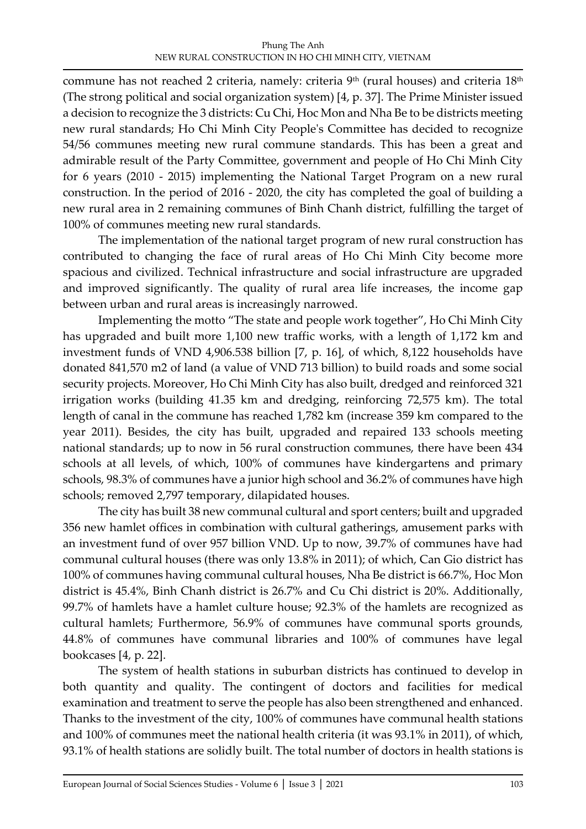commune has not reached 2 criteria, namely: criteria 9<sup>th</sup> (rural houses) and criteria 18<sup>th</sup> (The strong political and social organization system) [4, p. 37]. The Prime Minister issued a decision to recognize the 3 districts: Cu Chi, Hoc Mon and Nha Be to be districts meeting new rural standards; Ho Chi Minh City People's Committee has decided to recognize 54/56 communes meeting new rural commune standards. This has been a great and admirable result of the Party Committee, government and people of Ho Chi Minh City for 6 years (2010 - 2015) implementing the National Target Program on a new rural construction. In the period of 2016 - 2020, the city has completed the goal of building a new rural area in 2 remaining communes of Binh Chanh district, fulfilling the target of 100% of communes meeting new rural standards.

The implementation of the national target program of new rural construction has contributed to changing the face of rural areas of Ho Chi Minh City become more spacious and civilized. Technical infrastructure and social infrastructure are upgraded and improved significantly. The quality of rural area life increases, the income gap between urban and rural areas is increasingly narrowed.

Implementing the motto "The state and people work together", Ho Chi Minh City has upgraded and built more 1,100 new traffic works, with a length of 1,172 km and investment funds of VND 4,906.538 billion [7, p. 16], of which, 8,122 households have donated 841,570 m2 of land (a value of VND 713 billion) to build roads and some social security projects. Moreover, Ho Chi Minh City has also built, dredged and reinforced 321 irrigation works (building 41.35 km and dredging, reinforcing 72,575 km). The total length of canal in the commune has reached 1,782 km (increase 359 km compared to the year 2011). Besides, the city has built, upgraded and repaired 133 schools meeting national standards; up to now in 56 rural construction communes, there have been 434 schools at all levels, of which, 100% of communes have kindergartens and primary schools, 98.3% of communes have a junior high school and 36.2% of communes have high schools; removed 2,797 temporary, dilapidated houses.

The city has built 38 new communal cultural and sport centers; built and upgraded 356 new hamlet offices in combination with cultural gatherings, amusement parks with an investment fund of over 957 billion VND. Up to now, 39.7% of communes have had communal cultural houses (there was only 13.8% in 2011); of which, Can Gio district has 100% of communes having communal cultural houses, Nha Be district is 66.7%, Hoc Mon district is 45.4%, Binh Chanh district is 26.7% and Cu Chi district is 20%. Additionally, 99.7% of hamlets have a hamlet culture house; 92.3% of the hamlets are recognized as cultural hamlets; Furthermore, 56.9% of communes have communal sports grounds, 44.8% of communes have communal libraries and 100% of communes have legal bookcases [4, p. 22].

The system of health stations in suburban districts has continued to develop in both quantity and quality. The contingent of doctors and facilities for medical examination and treatment to serve the people has also been strengthened and enhanced. Thanks to the investment of the city, 100% of communes have communal health stations and 100% of communes meet the national health criteria (it was 93.1% in 2011), of which, 93.1% of health stations are solidly built. The total number of doctors in health stations is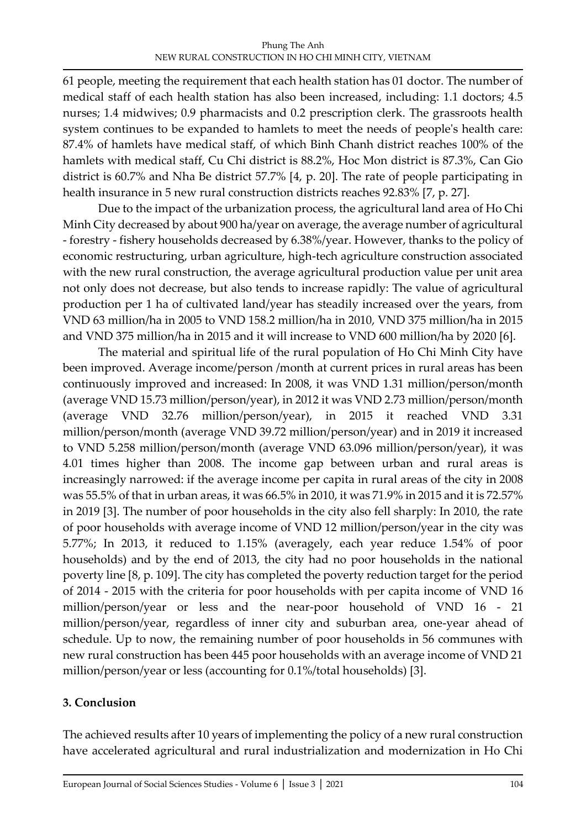61 people, meeting the requirement that each health station has 01 doctor. The number of medical staff of each health station has also been increased, including: 1.1 doctors; 4.5 nurses; 1.4 midwives; 0.9 pharmacists and 0.2 prescription clerk. The grassroots health system continues to be expanded to hamlets to meet the needs of people's health care: 87.4% of hamlets have medical staff, of which Binh Chanh district reaches 100% of the hamlets with medical staff, Cu Chi district is 88.2%, Hoc Mon district is 87.3%, Can Gio district is 60.7% and Nha Be district 57.7% [4, p. 20]. The rate of people participating in health insurance in 5 new rural construction districts reaches 92.83% [7, p. 27].

Due to the impact of the urbanization process, the agricultural land area of Ho Chi Minh City decreased by about 900 ha/year on average, the average number of agricultural - forestry - fishery households decreased by 6.38%/year. However, thanks to the policy of economic restructuring, urban agriculture, high-tech agriculture construction associated with the new rural construction, the average agricultural production value per unit area not only does not decrease, but also tends to increase rapidly: The value of agricultural production per 1 ha of cultivated land/year has steadily increased over the years, from VND 63 million/ha in 2005 to VND 158.2 million/ha in 2010, VND 375 million/ha in 2015 and VND 375 million/ha in 2015 and it will increase to VND 600 million/ha by 2020 [6].

The material and spiritual life of the rural population of Ho Chi Minh City have been improved. Average income/person /month at current prices in rural areas has been continuously improved and increased: In 2008, it was VND 1.31 million/person/month (average VND 15.73 million/person/year), in 2012 it was VND 2.73 million/person/month (average VND 32.76 million/person/year), in 2015 it reached VND 3.31 million/person/month (average VND 39.72 million/person/year) and in 2019 it increased to VND 5.258 million/person/month (average VND 63.096 million/person/year), it was 4.01 times higher than 2008. The income gap between urban and rural areas is increasingly narrowed: if the average income per capita in rural areas of the city in 2008 was 55.5% of that in urban areas, it was 66.5% in 2010, it was 71.9% in 2015 and it is 72.57% in 2019 [3]. The number of poor households in the city also fell sharply: In 2010, the rate of poor households with average income of VND 12 million/person/year in the city was 5.77%; In 2013, it reduced to 1.15% (averagely, each year reduce 1.54% of poor households) and by the end of 2013, the city had no poor households in the national poverty line [8, p. 109]. The city has completed the poverty reduction target for the period of 2014 - 2015 with the criteria for poor households with per capita income of VND 16 million/person/year or less and the near-poor household of VND 16 - 21 million/person/year, regardless of inner city and suburban area, one-year ahead of schedule. Up to now, the remaining number of poor households in 56 communes with new rural construction has been 445 poor households with an average income of VND 21 million/person/year or less (accounting for 0.1%/total households) [3].

## **3. Conclusion**

The achieved results after 10 years of implementing the policy of a new rural construction have accelerated agricultural and rural industrialization and modernization in Ho Chi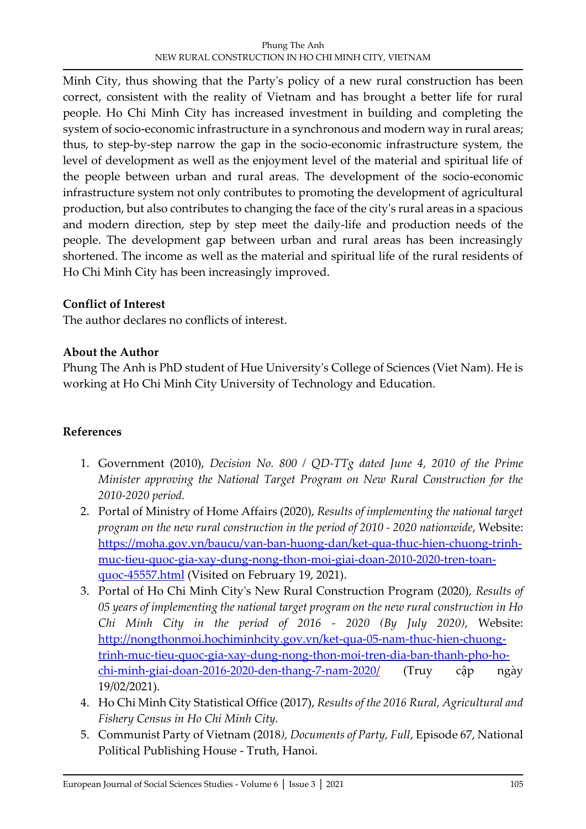Minh City, thus showing that the Party's policy of a new rural construction has been correct, consistent with the reality of Vietnam and has brought a better life for rural people. Ho Chi Minh City has increased investment in building and completing the system of socio-economic infrastructure in a synchronous and modern way in rural areas; thus, to step-by-step narrow the gap in the socio-economic infrastructure system, the level of development as well as the enjoyment level of the material and spiritual life of the people between urban and rural areas. The development of the socio-economic infrastructure system not only contributes to promoting the development of agricultural production, but also contributes to changing the face of the city's rural areas in a spacious and modern direction, step by step meet the daily-life and production needs of the people. The development gap between urban and rural areas has been increasingly shortened. The income as well as the material and spiritual life of the rural residents of Ho Chi Minh City has been increasingly improved.

#### **Conflict of Interest**

The author declares no conflicts of interest.

### **About the Author**

Phung The Anh is PhD student of Hue University's College of Sciences (Viet Nam). He is working at Ho Chi Minh City University of Technology and Education.

## **References**

- 1. Government (2010), *Decision No. 800 / QD-TTg dated June 4, 2010 of the Prime Minister approving the National Target Program on New Rural Construction for the 2010-2020 period.*
- 2. Portal of Ministry of Home Affairs (2020), *Results of implementing the national target program on the new rural construction in the period of 2010 - 2020 nationwide*, Website: [https://moha.gov.vn/baucu/van-ban-huong-dan/ket-qua-thuc-hien-chuong-trinh](https://moha.gov.vn/baucu/van-ban-huong-dan/ket-qua-thuc-hien-chuong-trinh-muc-tieu-quoc-gia-xay-dung-nong-thon-moi-giai-doan-2010-2020-tren-toan-quoc-45557.html)[muc-tieu-quoc-gia-xay-dung-nong-thon-moi-giai-doan-2010-2020-tren-toan](https://moha.gov.vn/baucu/van-ban-huong-dan/ket-qua-thuc-hien-chuong-trinh-muc-tieu-quoc-gia-xay-dung-nong-thon-moi-giai-doan-2010-2020-tren-toan-quoc-45557.html)[quoc-45557.html](https://moha.gov.vn/baucu/van-ban-huong-dan/ket-qua-thuc-hien-chuong-trinh-muc-tieu-quoc-gia-xay-dung-nong-thon-moi-giai-doan-2010-2020-tren-toan-quoc-45557.html) (Visited on February 19, 2021).
- 3. Portal of Ho Chi Minh City's New Rural Construction Program (2020), *Results of 05 years of implementing the national target program on the new rural construction in Ho Chi Minh City in the period of 2016 - 2020 (By July 2020)*, Website: [http://nongthonmoi.hochiminhcity.gov.vn/ket-qua-05-nam-thuc-hien-chuong](http://nongthonmoi.hochiminhcity.gov.vn/ket-qua-05-nam-thuc-hien-chuong-trinh-muc-tieu-quoc-gia-xay-dung-nong-thon-moi-tren-dia-ban-thanh-pho-ho-chi-minh-giai-doan-2016-2020-den-thang-7-nam-2020/)[trinh-muc-tieu-quoc-gia-xay-dung-nong-thon-moi-tren-dia-ban-thanh-pho-ho](http://nongthonmoi.hochiminhcity.gov.vn/ket-qua-05-nam-thuc-hien-chuong-trinh-muc-tieu-quoc-gia-xay-dung-nong-thon-moi-tren-dia-ban-thanh-pho-ho-chi-minh-giai-doan-2016-2020-den-thang-7-nam-2020/)[chi-minh-giai-doan-2016-2020-den-thang-7-nam-2020/](http://nongthonmoi.hochiminhcity.gov.vn/ket-qua-05-nam-thuc-hien-chuong-trinh-muc-tieu-quoc-gia-xay-dung-nong-thon-moi-tren-dia-ban-thanh-pho-ho-chi-minh-giai-doan-2016-2020-den-thang-7-nam-2020/) (Truy cập ngày 19/02/2021).
- 4. Ho Chi Minh City Statistical Office (2017), *Results of the 2016 Rural, Agricultural and Fishery Census in Ho Chi Minh City.*
- 5. Communist Party of Vietnam (2018*), Documents of Party, Full*, Episode 67, National Political Publishing House - Truth, Hanoi.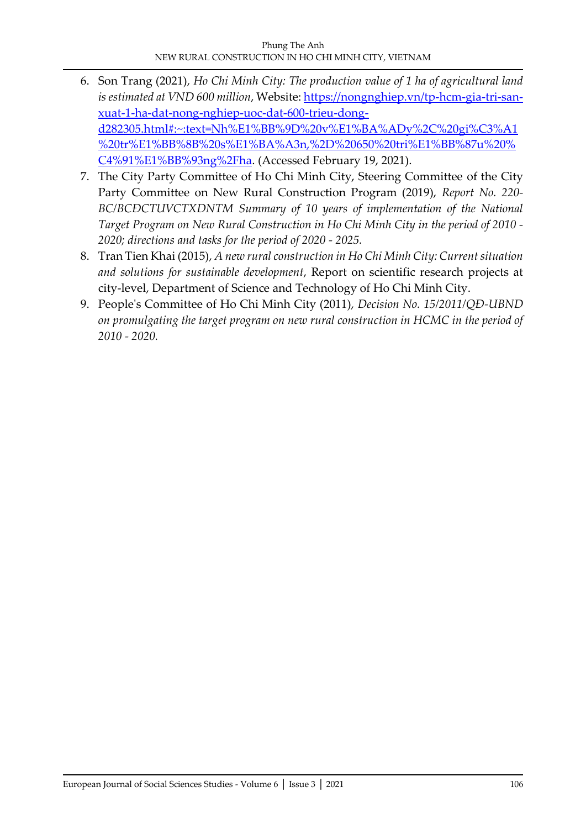- 6. Son Trang (2021), *Ho Chi Minh City: The production value of 1 ha of agricultural land is estimated at VND 600 million*, Website[: https://nongnghiep.vn/tp-hcm-gia-tri-san](https://nongnghiep.vn/tp-hcm-gia-tri-san-xuat-1-ha-dat-nong-nghiep-uoc-dat-600-trieu-dong-d282305.html#:~:text=Nh%E1%BB%9D%20v%E1%BA%ADy%2C%20gi%C3%A1%20tr%E1%BB%8B%20s%E1%BA%A3n,%2D%20650%20tri%E1%BB%87u%20%C4%91%E1%BB%93ng%2Fha)[xuat-1-ha-dat-nong-nghiep-uoc-dat-600-trieu-dong](https://nongnghiep.vn/tp-hcm-gia-tri-san-xuat-1-ha-dat-nong-nghiep-uoc-dat-600-trieu-dong-d282305.html#:~:text=Nh%E1%BB%9D%20v%E1%BA%ADy%2C%20gi%C3%A1%20tr%E1%BB%8B%20s%E1%BA%A3n,%2D%20650%20tri%E1%BB%87u%20%C4%91%E1%BB%93ng%2Fha)[d282305.html#:~:text=Nh%E1%BB%9D%20v%E1%BA%ADy%2C%20gi%C3%A1](https://nongnghiep.vn/tp-hcm-gia-tri-san-xuat-1-ha-dat-nong-nghiep-uoc-dat-600-trieu-dong-d282305.html#:~:text=Nh%E1%BB%9D%20v%E1%BA%ADy%2C%20gi%C3%A1%20tr%E1%BB%8B%20s%E1%BA%A3n,%2D%20650%20tri%E1%BB%87u%20%C4%91%E1%BB%93ng%2Fha) [%20tr%E1%BB%8B%20s%E1%BA%A3n,%2D%20650%20tri%E1%BB%87u%20%](https://nongnghiep.vn/tp-hcm-gia-tri-san-xuat-1-ha-dat-nong-nghiep-uoc-dat-600-trieu-dong-d282305.html#:~:text=Nh%E1%BB%9D%20v%E1%BA%ADy%2C%20gi%C3%A1%20tr%E1%BB%8B%20s%E1%BA%A3n,%2D%20650%20tri%E1%BB%87u%20%C4%91%E1%BB%93ng%2Fha) [C4%91%E1%BB%93ng%2Fha.](https://nongnghiep.vn/tp-hcm-gia-tri-san-xuat-1-ha-dat-nong-nghiep-uoc-dat-600-trieu-dong-d282305.html#:~:text=Nh%E1%BB%9D%20v%E1%BA%ADy%2C%20gi%C3%A1%20tr%E1%BB%8B%20s%E1%BA%A3n,%2D%20650%20tri%E1%BB%87u%20%C4%91%E1%BB%93ng%2Fha) (Accessed February 19, 2021).
- 7. The City Party Committee of Ho Chi Minh City, Steering Committee of the City Party Committee on New Rural Construction Program (2019), *Report No. 220- BC/BCĐCTUVCTXDNTM Summary of 10 years of implementation of the National Target Program on New Rural Construction in Ho Chi Minh City in the period of 2010 - 2020; directions and tasks for the period of 2020 - 2025.*
- 8. Tran Tien Khai (2015), *A new rural construction in Ho Chi Minh City: Current situation and solutions for sustainable development*, Report on scientific research projects at city-level, Department of Science and Technology of Ho Chi Minh City.
- 9. People's Committee of Ho Chi Minh City (2011), *Decision No. 15/2011/QĐ-UBND on promulgating the target program on new rural construction in HCMC in the period of 2010 - 2020.*